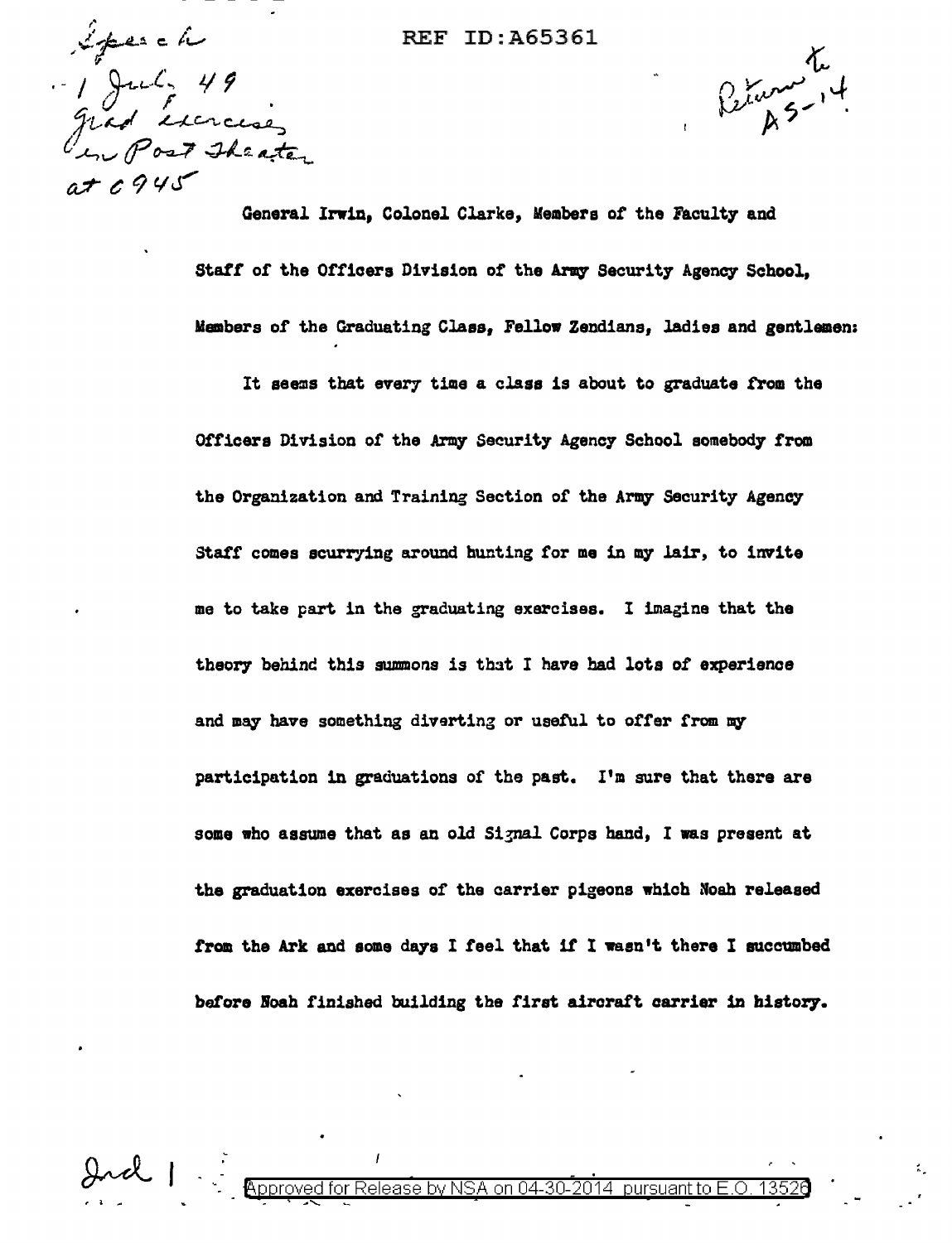Iperch July 49<br>grad serceses  $a + 1945$ 

## **REF ID: A65361**

General Irwin, Colonel Clarke, Members of the Faculty and

Peturn 4

Staff of the Officers Division of the Army Security Agency School. Members of the Graduating Class, Fellow Zendians, ladies and gentlemen: It seems that every time a class is about to graduate from the Officers Division of the Army Security Agency School somebody from the Organization and Training Section of the Army Security Agency Staff comes scurrying around hunting for me in my lair, to invite me to take part in the graduating exercises. I imagine that the theory behind this summons is that I have had lots of experience and may have something diverting or useful to offer from my participation in graduations of the past. I'm sure that there are some who assume that as an old Signal Corps hand, I was present at the graduation exercises of the carrier pigeons which Noah released from the Ark and some days I feel that if I wasn't there I succumbed

before Noah finished building the first aircraft carrier in history.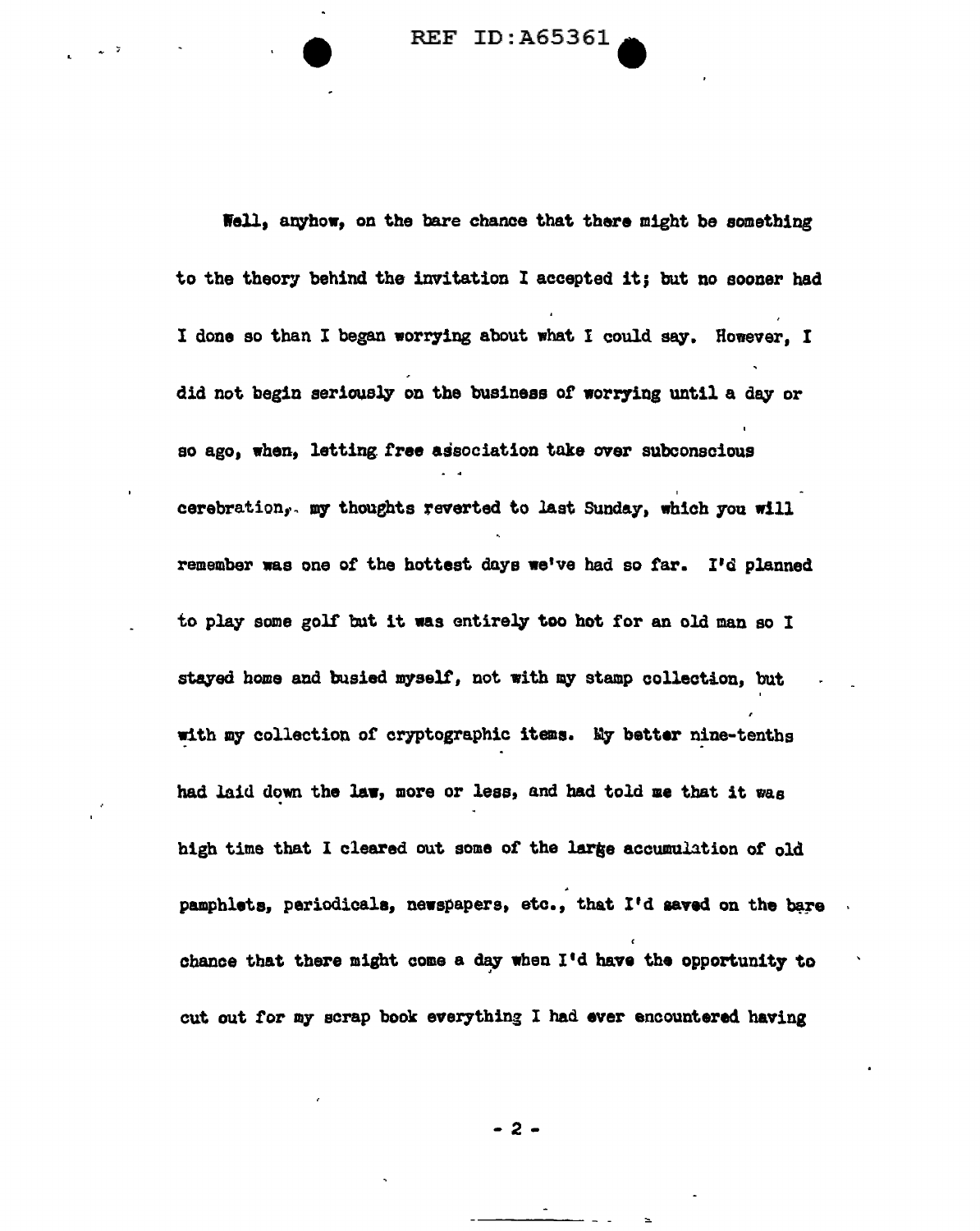REF ID: A65361

Well, anyhow, on the bare chance that there might be something to the theory behind the invitation I accepted it; but no sooner had I done so than I began worrying about what I could say. However. I did not begin seriously on the business of worrying until a day or so ago, when, letting free association take over subconscious cerebration, my thoughts reverted to last Sunday, which you will remember was one of the hottest days we've had so tar. I'd planned to play some golf but it was entirely too hot for an old man so I stayed home and busied myself, not with my stamp collection, but with my collection of cryptographic items. My better nine-tenths had laid down the law, more or less, and had told me that it was high time that I cleared out some of the large accumulation of old pamphlets, periodicals, newspapers, etc., that I'd saved on the bare chance that there might come a day when  $I'$ d have the opportunity to cut out tor my scrap book everything I had ever encountered having

- 2 -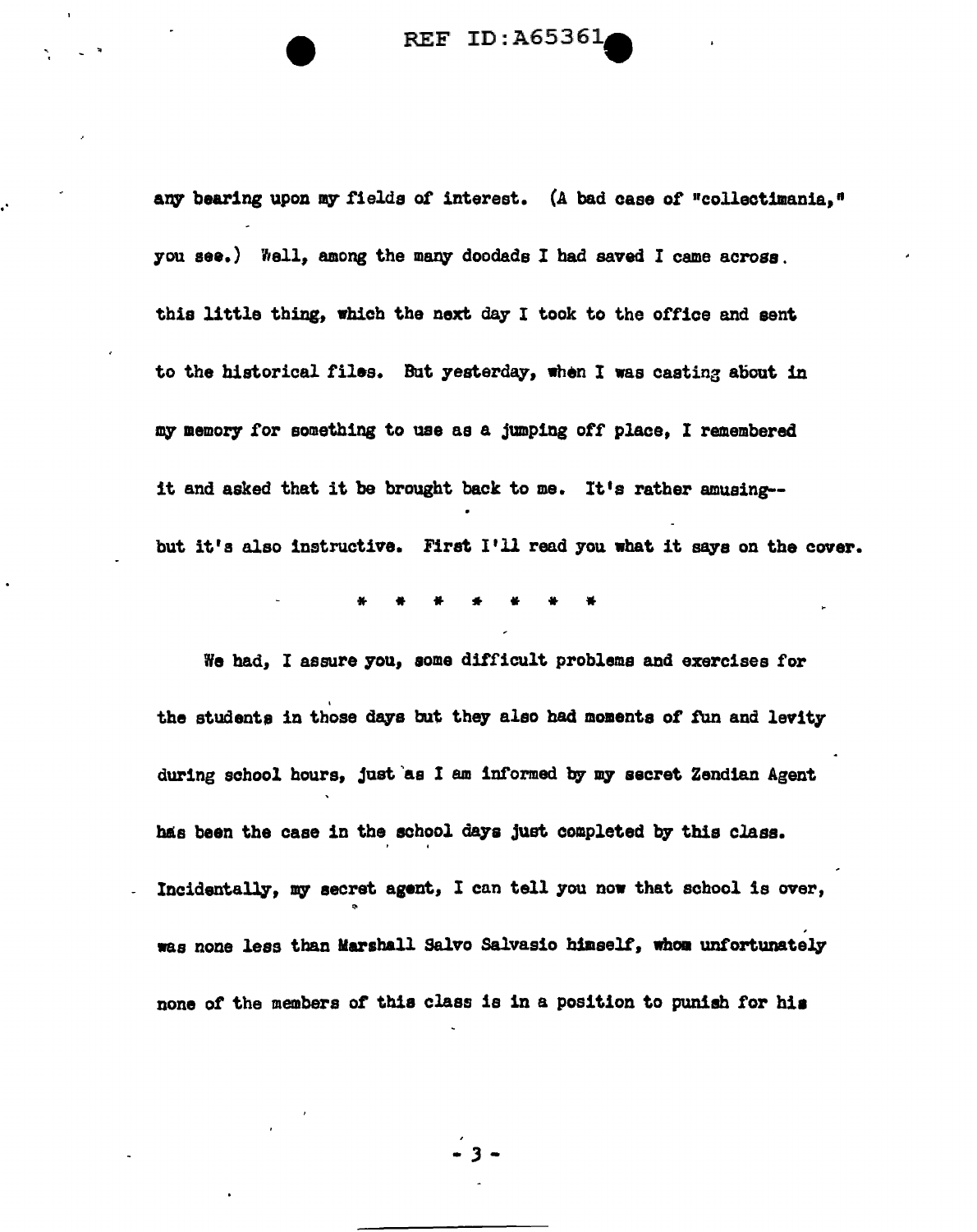REF ID: A6536.

any bearing upon my fields of interest. (A bad case of "collectimania," you see.) Well, among the many doodads I had saved I came across. this little thing, which the next day I took to the office and sent to the historical files. Bat yesterday, when I was casting aliout in my memory for something to use as a jumping off place. I remembered it and asked that it be brought back to me. It's rather amusing- but it's also instructive. First I'll read you what it says on the cover.

,•

'

\* \* \* \* \* \* \*

We had, I assure you, aoma difficult problems and exercises for the students in those days but they also had moments of fun and levity during school hours, just as I am informed by my secret Zendian Agent has been the case in the school days just completed by this class. Incidentally, my secret agent, I can tell you now that school is over, .. , was none less than Marshall Salvo Salvasio himself, whom unfortunately none of the members of this class is in a position to punish for his

- .3 -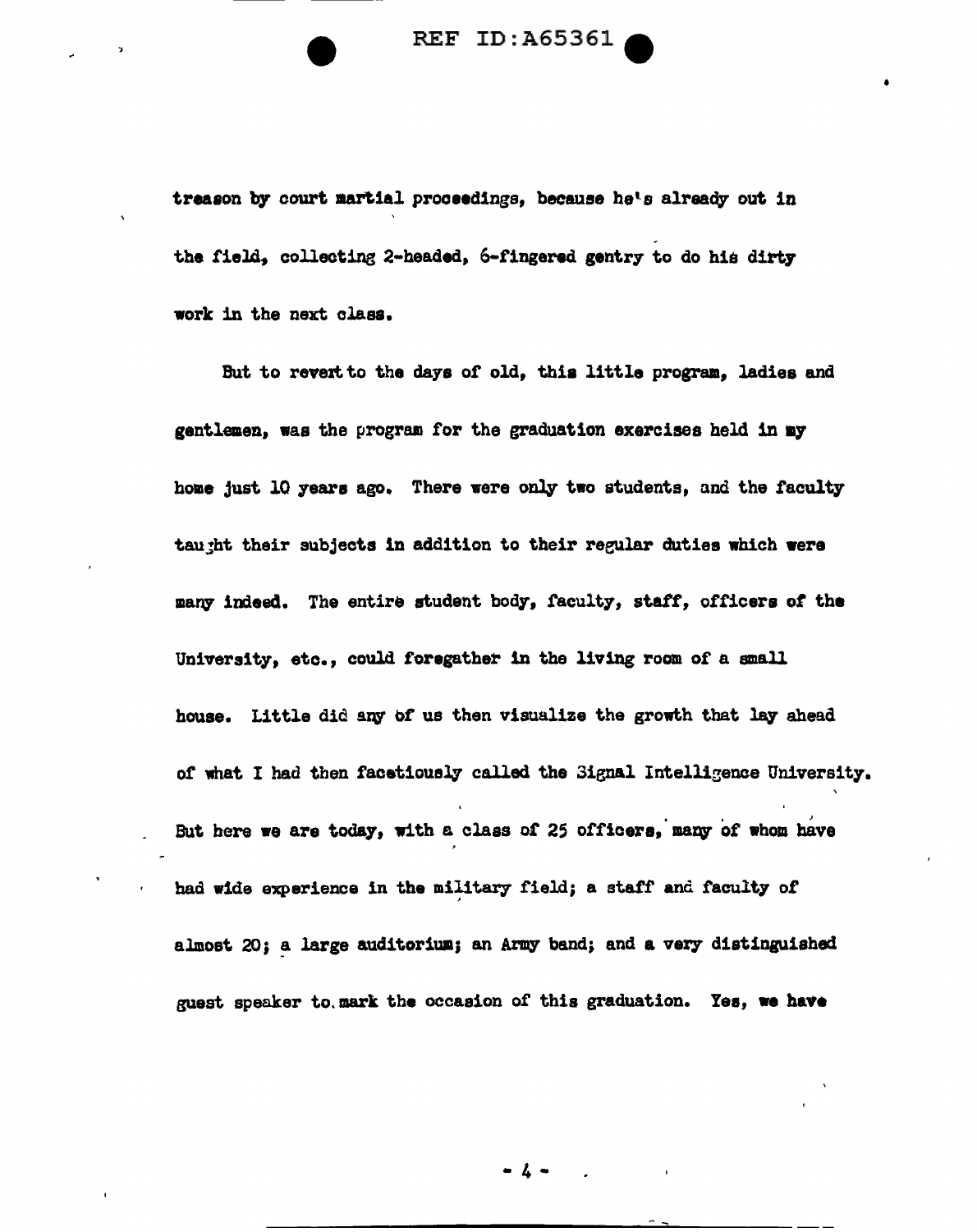REF ID: A65361

•

treason by court martial proceedings, because he's already out in the field, collecting 2-headed, 6-fingered gentry to do his dirty work in the next claaa.

But to revert to the days of old, this little program, ladies and gentlemen, was the program for the graduation exercises held in my home just 10 years ago. There were only two students, and the faculty tau;ht their subjects in addition to their regular duties which were many indeed. The entire student body, faculty, staff, officers of the University, etc., could foregather in the living room of a small house. Little did any of us then visualize the growth that lay ahead of what I had then facetiously called the 3ignal Intelligence University. But here we are today, with a class of 25 officers, many of whom have had wide experience in the military field; a staff and faculty of almost 20; a large auditorium; an Army band; and a very distinguished guest speaker to.mark the occasion of this graduation. Yes, we have

 $-$  4  $-$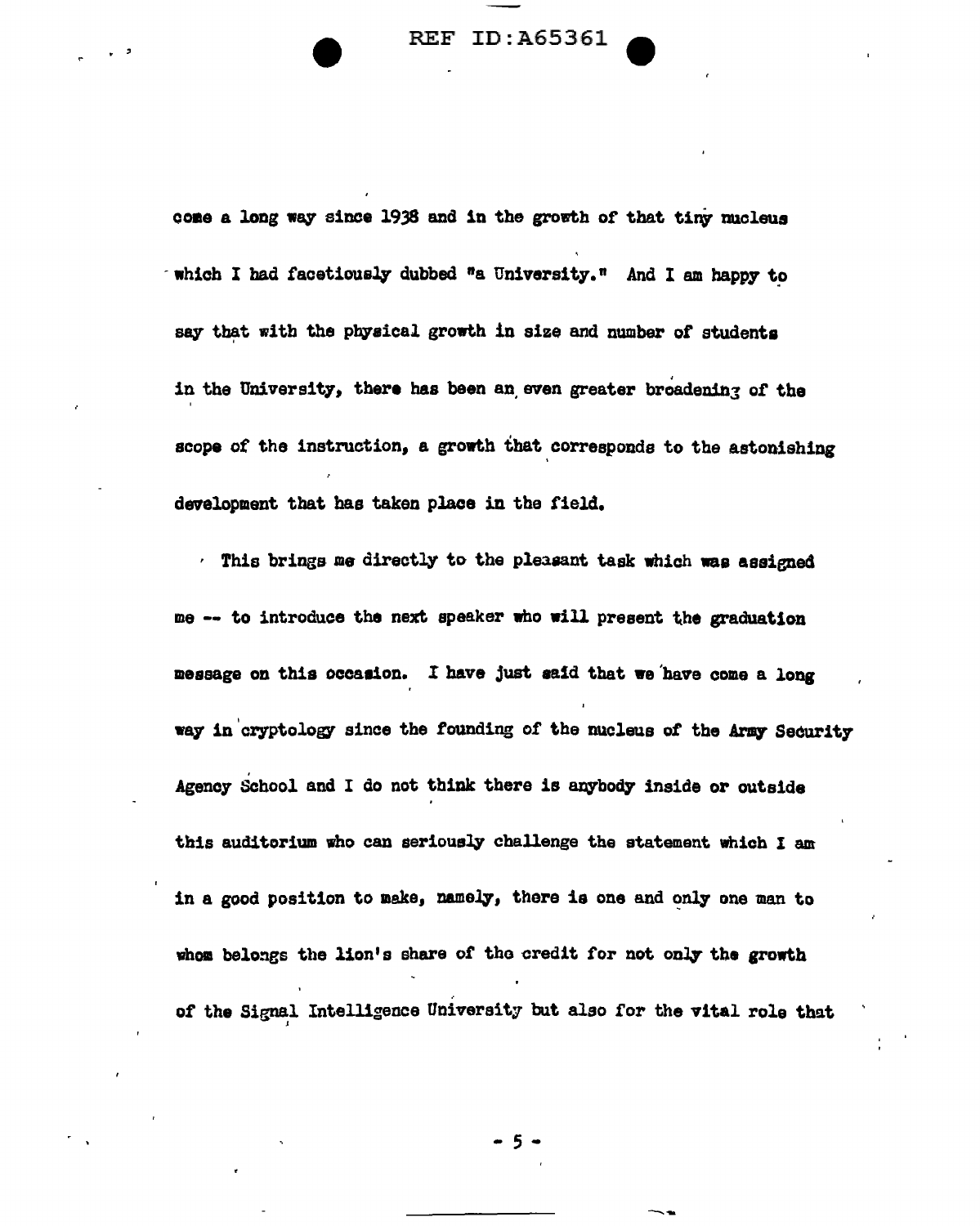REF ID:A65361

r '

come a long way since 1938 and in the growth of that tiny nucleus  $\cdot$  which I had facetiously dubbed "a University." And I am happy to say that with the physical growth in size and number of students in the University, there has been an even greater broadening of the ' scope of the instruction, a growth that corresponds to the astonishing development that has taken place in the field.

 $\cdot$  This brings me directly to the pleasant task which was assigned me -- to introduce the next speaker who will present the graduation message on this occaaion. I have just aa1d that we'have coma a long way in cryptology since the founding of the nucleus of the Army Security Agency School and I do not think there is anybody inside or outside this auditorium who can seriously challenge the statement which I am in a good position to make, namely, there is one and only one man to whom belongs the lion's share of the credit for not only the growth of the Signal Intelligence University but also for the vital role that

- 5 -

--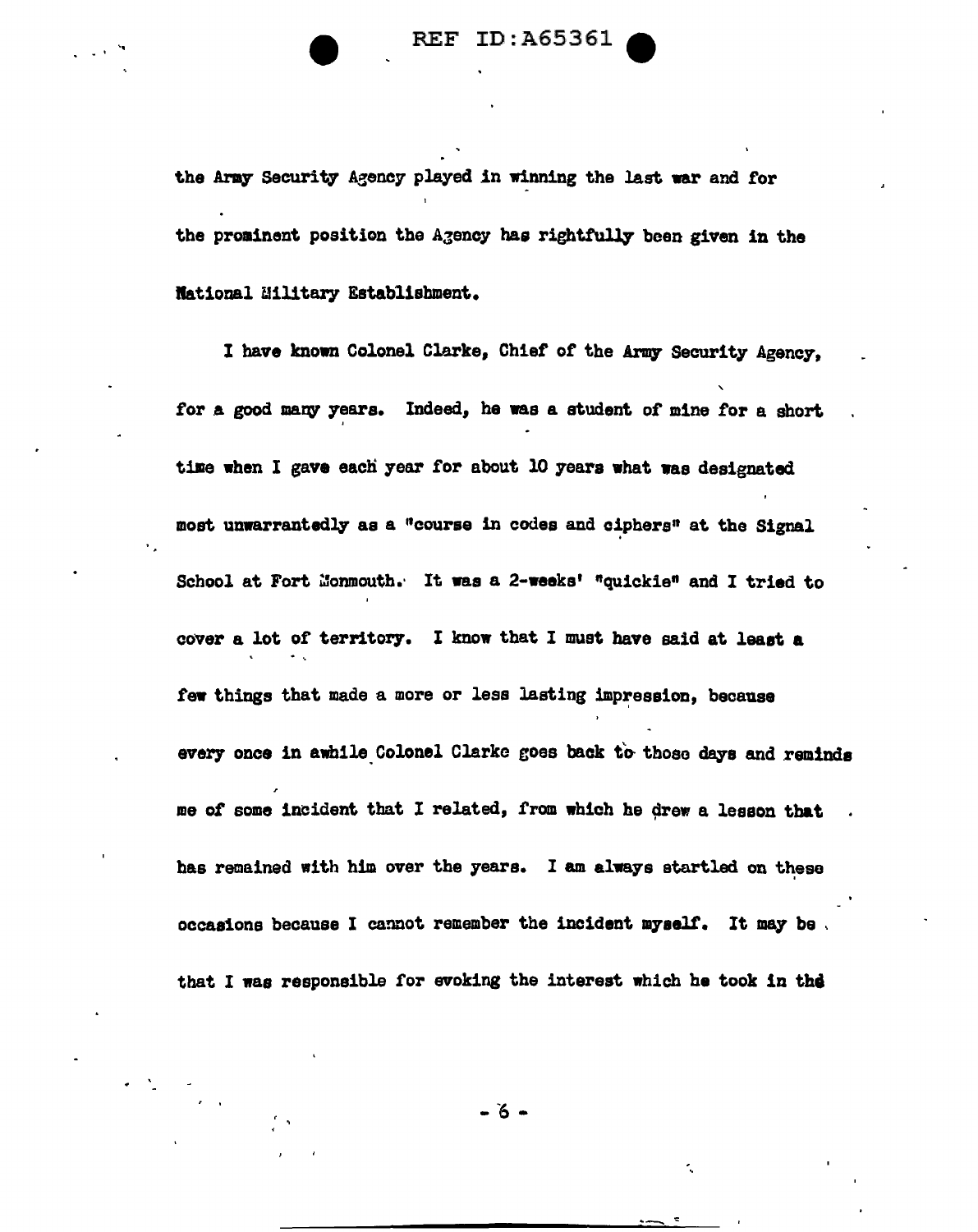the Army Security Agency played in winning the last war and for the prominent position the Agency has rightfully been given in the Rational Military Establishment.

I have known Colonel Clarke, Chief or the Army Security Agency, ' for a good many years. Indeed, he was a student of mine for a short time when I gave each year for about 10 years what was designated most unwarrantedly as a "course in codes and ciphers" at the Signal School at Fort Monmouth. It was a 2-weeks' "quickie" and I tried to cover a lot of territory. I know that I must have said at least a few things that made a more or less lasting impression, because every once in awhile Colonel Clarke goes back to those days and reminds me of some incident that I related, from which he drew a lesson that has remained with him over the years. I am always startled on these occasions because I cannot remember the incident myself. It may be , that I was responsible for evoking the interest which he took in the

-o-

 $\overline{\phantom{a}}$